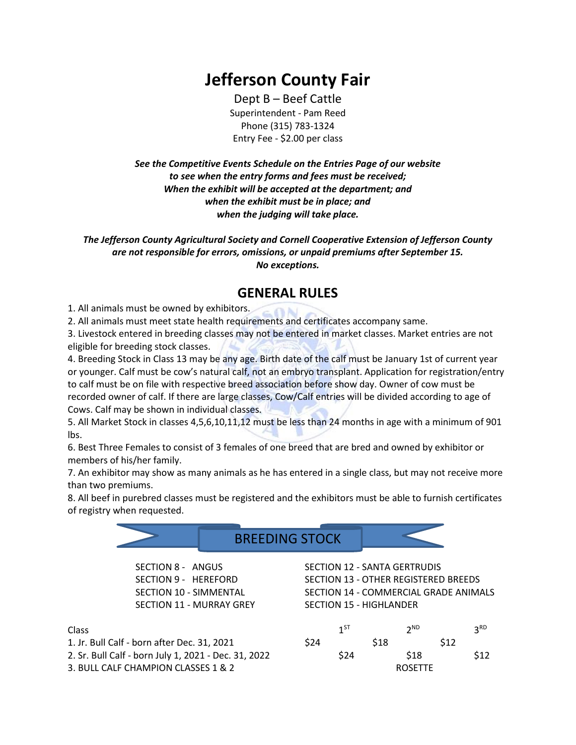## **Jefferson County Fair**

Dept B – Beef Cattle Superintendent - Pam Reed Phone (315) 783-1324 Entry Fee - \$2.00 per class

*See the Competitive Events Schedule on the Entries Page of our website to see when the entry forms and fees must be received; When the exhibit will be accepted at the department; and when the exhibit must be in place; and when the judging will take place.*

*The Jefferson County Agricultural Society and Cornell Cooperative Extension of Jefferson County are not responsible for errors, omissions, or unpaid premiums after September 15. No exceptions.*

## **GENERAL RULES**

1. All animals must be owned by exhibitors.

2. All animals must meet state health requirements and certificates accompany same.

3. Livestock entered in breeding classes may not be entered in market classes. Market entries are not eligible for breeding stock classes.

4. Breeding Stock in Class 13 may be any age. Birth date of the calf must be January 1st of current year or younger. Calf must be cow's natural calf, not an embryo transplant. Application for registration/entry to calf must be on file with respective breed association before show day. Owner of cow must be recorded owner of calf. If there are large classes, Cow/Calf entries will be divided according to age of Cows. Calf may be shown in individual classes.

5. All Market Stock in classes 4,5,6,10,11,12 must be less than 24 months in age with a minimum of 901 lbs.

6. Best Three Females to consist of 3 females of one breed that are bred and owned by exhibitor or members of his/her family.

7. An exhibitor may show as many animals as he has entered in a single class, but may not receive more than two premiums.

8. All beef in purebred classes must be registered and the exhibitors must be able to furnish certificates of registry when requested.

BREEDING STOCK

SECTION 8 - ANGUS SECTION 9 - HEREFORD SECTION 10 - SIMMENTAL SECTION 11 - MURRAY GREY

Class 2012 and 2012 and 2012 and 2012 and 2012 and 2012 and 2012 and 2012 and 2012 and 2012 and 2013 and 2013 1. Jr. Bull Calf - born after Dec. 31, 2021

2. Sr. Bull Calf - born July 1, 2021 - Dec. 31, 2022 3. BULL CALF CHAMPION CLASSES 1 & 2

SECTION 13 - OTHER REGISTERED BREEDS SECTION 14 - COMMERCIAL GRADE ANIMALS SECTION 15 - HIGHLANDER

SECTION 12 - SANTA GERTRUDIS

|      | $1^{ST}$ |      | 2 <sub>ND</sub> |      | 3 <sup>RD</sup> |
|------|----------|------|-----------------|------|-----------------|
| \$24 |          | \$18 |                 | \$12 |                 |
|      | \$24     |      | \$18            |      | \$12            |
|      |          |      | <b>ROSETTE</b>  |      |                 |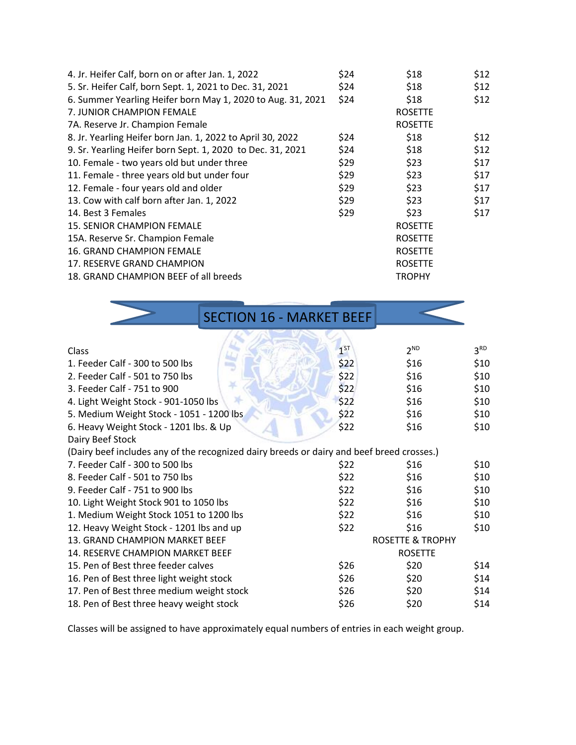| 4. Jr. Heifer Calf, born on or after Jan. 1, 2022           | \$24 | \$18           | \$12 |
|-------------------------------------------------------------|------|----------------|------|
| 5. Sr. Heifer Calf, born Sept. 1, 2021 to Dec. 31, 2021     | \$24 | \$18           | \$12 |
| 6. Summer Yearling Heifer born May 1, 2020 to Aug. 31, 2021 | \$24 | \$18           | \$12 |
| 7. JUNIOR CHAMPION FEMALE                                   |      | <b>ROSETTE</b> |      |
| 7A. Reserve Jr. Champion Female                             |      | <b>ROSETTE</b> |      |
| 8. Jr. Yearling Heifer born Jan. 1, 2022 to April 30, 2022  | \$24 | \$18           | \$12 |
| 9. Sr. Yearling Heifer born Sept. 1, 2020 to Dec. 31, 2021  | \$24 | \$18           | \$12 |
| 10. Female - two years old but under three                  | \$29 | \$23           | \$17 |
| 11. Female - three years old but under four                 | \$29 | \$23           | \$17 |
| 12. Female - four years old and older                       | \$29 | \$23           | \$17 |
| 13. Cow with calf born after Jan. 1, 2022                   | \$29 | \$23           | \$17 |
| 14. Best 3 Females                                          | \$29 | \$23           | \$17 |
| 15. SENIOR CHAMPION FEMALE                                  |      | <b>ROSETTE</b> |      |
| 15A. Reserve Sr. Champion Female                            |      | <b>ROSETTE</b> |      |
| 16. GRAND CHAMPION FEMALE                                   |      | <b>ROSETTE</b> |      |
| 17. RESERVE GRAND CHAMPION                                  |      | <b>ROSETTE</b> |      |
| 18. GRAND CHAMPION BEEF of all breeds                       |      | <b>TROPHY</b>  |      |

|                                                                                           |              | <b>SECTION 16 - MARKET BEEF</b> |                 |                 |  |  |  |
|-------------------------------------------------------------------------------------------|--------------|---------------------------------|-----------------|-----------------|--|--|--|
|                                                                                           |              |                                 |                 |                 |  |  |  |
| Class                                                                                     |              | 1 <sup>ST</sup>                 | 2 <sup>ND</sup> | 3 <sup>RD</sup> |  |  |  |
| 1. Feeder Calf - 300 to 500 lbs                                                           | \$22         | \$16                            | \$10            |                 |  |  |  |
| 2. Feeder Calf - 501 to 750 lbs                                                           | \$22         | \$16                            | \$10            |                 |  |  |  |
| 3. Feeder Calf - 751 to 900                                                               | \$22         | \$16                            | \$10            |                 |  |  |  |
| 4. Light Weight Stock - 901-1050 lbs                                                      | \$22         | \$16                            | \$10            |                 |  |  |  |
| 5. Medium Weight Stock - 1051 - 1200 lbs                                                  | \$22         | \$16                            | \$10            |                 |  |  |  |
| 6. Heavy Weight Stock - 1201 lbs. & Up                                                    | \$22         | \$16                            | \$10            |                 |  |  |  |
| Dairy Beef Stock                                                                          |              |                                 |                 |                 |  |  |  |
| (Dairy beef includes any of the recognized dairy breeds or dairy and beef breed crosses.) |              |                                 |                 |                 |  |  |  |
| 7. Feeder Calf - 300 to 500 lbs                                                           | \$22         | \$16                            | \$10            |                 |  |  |  |
| 8. Feeder Calf - 501 to 750 lbs                                                           | \$22         | \$16                            | \$10            |                 |  |  |  |
| 9. Feeder Calf - 751 to 900 lbs                                                           | \$22         | \$16                            | \$10            |                 |  |  |  |
| 10. Light Weight Stock 901 to 1050 lbs                                                    | \$22         | \$16                            | \$10            |                 |  |  |  |
| 1. Medium Weight Stock 1051 to 1200 lbs                                                   | \$22<br>\$22 | \$16                            | \$10            |                 |  |  |  |
| 12. Heavy Weight Stock - 1201 lbs and up                                                  |              |                                 | \$16            | \$10            |  |  |  |
| 13. GRAND CHAMPION MARKET BEEF                                                            |              | <b>ROSETTE &amp; TROPHY</b>     |                 |                 |  |  |  |
| 14. RESERVE CHAMPION MARKET BEEF                                                          |              | <b>ROSETTE</b>                  |                 |                 |  |  |  |
| 15. Pen of Best three feeder calves                                                       | \$26         | \$20                            | \$14            |                 |  |  |  |
| 16. Pen of Best three light weight stock                                                  | \$26         | \$20                            | \$14            |                 |  |  |  |
| 17. Pen of Best three medium weight stock                                                 | \$26         | \$20                            | \$14            |                 |  |  |  |
| 18. Pen of Best three heavy weight stock                                                  | \$26         | \$20                            | \$14            |                 |  |  |  |

Classes will be assigned to have approximately equal numbers of entries in each weight group.